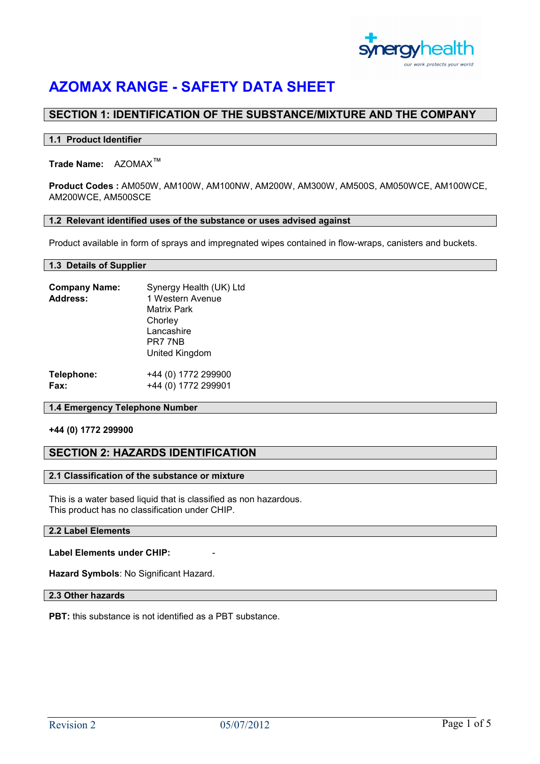

# SECTION 1: IDENTIFICATION OF THE SUBSTANCE/MIXTURE AND THE COMPANY

#### 1.1 Product Identifier

# Trade Name: AZOMAX™

Product Codes : AM050W, AM100W, AM100NW, AM200W, AM300W, AM500S, AM050WCE, AM100WCE, AM200WCE, AM500SCE

#### 1.2 Relevant identified uses of the substance or uses advised against

Product available in form of sprays and impregnated wipes contained in flow-wraps, canisters and buckets.

#### 1.3 Details of Supplier

| <b>Company Name:</b><br>Address: | Synergy Health (UK) Ltd<br>1 Western Avenue<br>Matrix Park |
|----------------------------------|------------------------------------------------------------|
|                                  | Chorley                                                    |
|                                  | Lancashire                                                 |
|                                  | PR7 7NB                                                    |
|                                  | United Kingdom                                             |
| Telephone:                       | +44 (0) 1772 299900                                        |
| Fax:                             | +44 (0) 1772 299901                                        |

#### 1.4 Emergency Telephone Number

#### +44 (0) 1772 299900

# SECTION 2: HAZARDS IDENTIFICATION

#### 2.1 Classification of the substance or mixture

This is a water based liquid that is classified as non hazardous. This product has no classification under CHIP.

## 2.2 Label Elements

### Label Elements under CHIP:

Hazard Symbols: No Significant Hazard.

## 2.3 Other hazards

PBT: this substance is not identified as a PBT substance.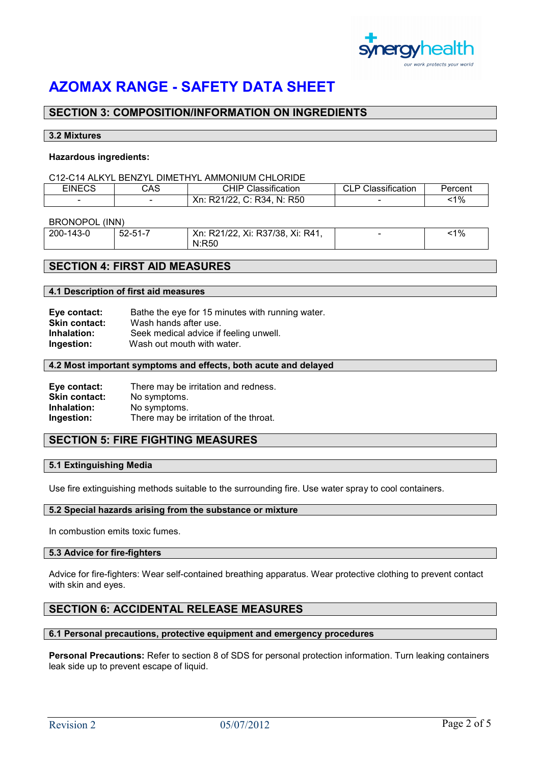

# SECTION 3: COMPOSITION/INFORMATION ON INGREDIENTS

#### 3.2 Mixtures

#### Hazardous ingredients:

#### C12-C14 ALKYL BENZYL DIMETHYL AMMONIUM CHLORIDE

| EINECS | CAS | $\cdot$<br>CHIP<br>شlassification | CI D<br>:lassification<br>. | Percent |
|--------|-----|-----------------------------------|-----------------------------|---------|
|        |     | C: R34<br>. N: R50<br>Xn: R2      |                             | $1\%$   |

#### BRONOPOL (INN)

| 200-143-0 | $52 - 51 - 7$ | Xn: R21/22, Xi: R37/38, Xi: R41, | $1\%$ |
|-----------|---------------|----------------------------------|-------|
|           |               | N:R50                            |       |

# SECTION 4: FIRST AID MEASURES

#### 4.1 Description of first aid measures

| Eye contact:         | Bathe the eye for 15 minutes with running water. |
|----------------------|--------------------------------------------------|
| <b>Skin contact:</b> | Wash hands after use.                            |
| Inhalation:          | Seek medical advice if feeling unwell.           |
| Ingestion:           | Wash out mouth with water.                       |

#### 4.2 Most important symptoms and effects, both acute and delayed

| Eye contact:         | There may be irritation and redness.   |
|----------------------|----------------------------------------|
| <b>Skin contact:</b> | No symptoms.                           |
| Inhalation:          | No symptoms.                           |
| Ingestion:           | There may be irritation of the throat. |

# SECTION 5: FIRE FIGHTING MEASURES

#### 5.1 Extinguishing Media

Use fire extinguishing methods suitable to the surrounding fire. Use water spray to cool containers.

#### 5.2 Special hazards arising from the substance or mixture

In combustion emits toxic fumes.

#### 5.3 Advice for fire-fighters

Advice for fire-fighters: Wear self-contained breathing apparatus. Wear protective clothing to prevent contact with skin and eyes.

# SECTION 6: ACCIDENTAL RELEASE MEASURES

#### 6.1 Personal precautions, protective equipment and emergency procedures

Personal Precautions: Refer to section 8 of SDS for personal protection information. Turn leaking containers leak side up to prevent escape of liquid.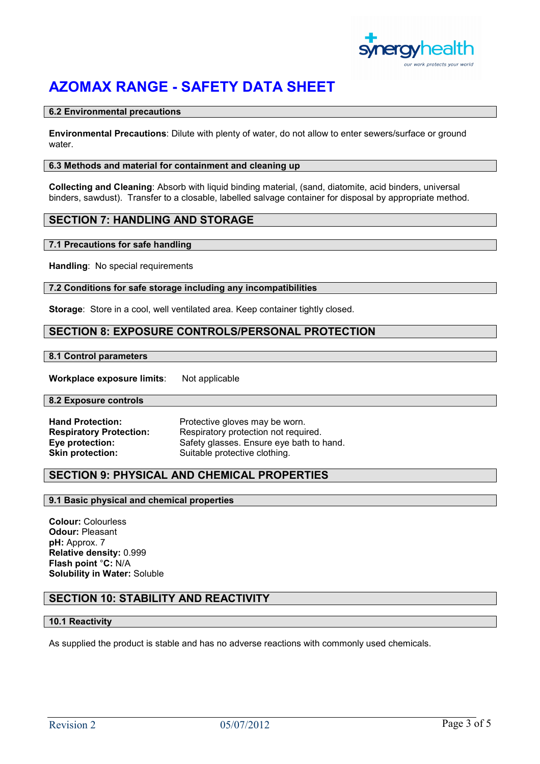

#### 6.2 Environmental precautions

Environmental Precautions: Dilute with plenty of water, do not allow to enter sewers/surface or ground water.

#### 6.3 Methods and material for containment and cleaning up

Collecting and Cleaning: Absorb with liquid binding material, (sand, diatomite, acid binders, universal binders, sawdust). Transfer to a closable, labelled salvage container for disposal by appropriate method.

## SECTION 7: HANDLING AND STORAGE

## 7.1 Precautions for safe handling

Handling: No special requirements

#### 7.2 Conditions for safe storage including any incompatibilities

Storage: Store in a cool, well ventilated area. Keep container tightly closed.

# SECTION 8: EXPOSURE CONTROLS/PERSONAL PROTECTION

#### 8.1 Control parameters

Workplace exposure limits: Not applicable

#### 8.2 Exposure controls

| <b>Hand Protection:</b>        | Protective gloves may be worn.           |
|--------------------------------|------------------------------------------|
| <b>Respiratory Protection:</b> | Respiratory protection not required.     |
| Eye protection:                | Safety glasses. Ensure eye bath to hand. |
| <b>Skin protection:</b>        | Suitable protective clothing.            |

# SECTION 9: PHYSICAL AND CHEMICAL PROPERTIES

#### 9.1 Basic physical and chemical properties

Colour: Colourless Odour: Pleasant pH: Approx. 7 Relative density: 0.999 Flash point °C: N/A Solubility in Water: Soluble

# SECTION 10: STABILITY AND REACTIVITY

## 10.1 Reactivity

As supplied the product is stable and has no adverse reactions with commonly used chemicals.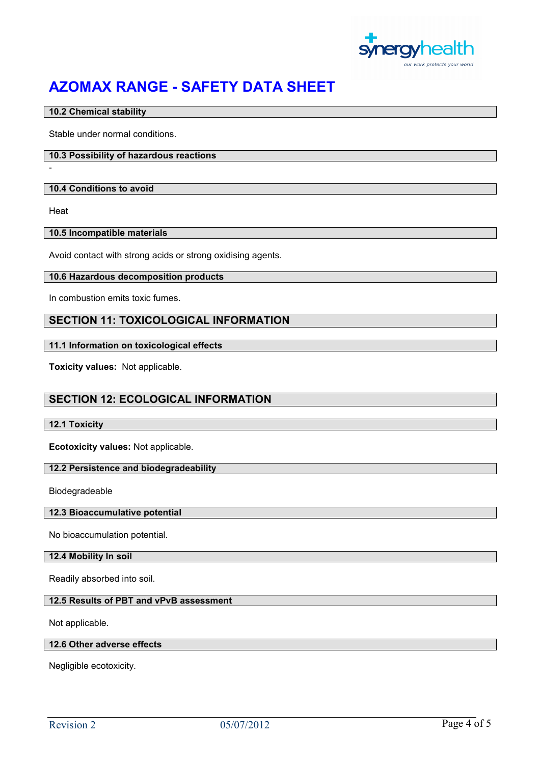

## 10.2 Chemical stability

Stable under normal conditions.

## 10.3 Possibility of hazardous reactions

#### 10.4 Conditions to avoid

**Heat** 

-

### 10.5 Incompatible materials

Avoid contact with strong acids or strong oxidising agents.

#### 10.6 Hazardous decomposition products

In combustion emits toxic fumes.

# SECTION 11: TOXICOLOGICAL INFORMATION

## 11.1 Information on toxicological effects

Toxicity values: Not applicable.

# SECTION 12: ECOLOGICAL INFORMATION

### 12.1 Toxicity

Ecotoxicity values: Not applicable.

### 12.2 Persistence and biodegradeability

Biodegradeable

#### 12.3 Bioaccumulative potential

No bioaccumulation potential.

#### 12.4 Mobility In soil

Readily absorbed into soil.

## 12.5 Results of PBT and vPvB assessment

Not applicable.

## 12.6 Other adverse effects

Negligible ecotoxicity.